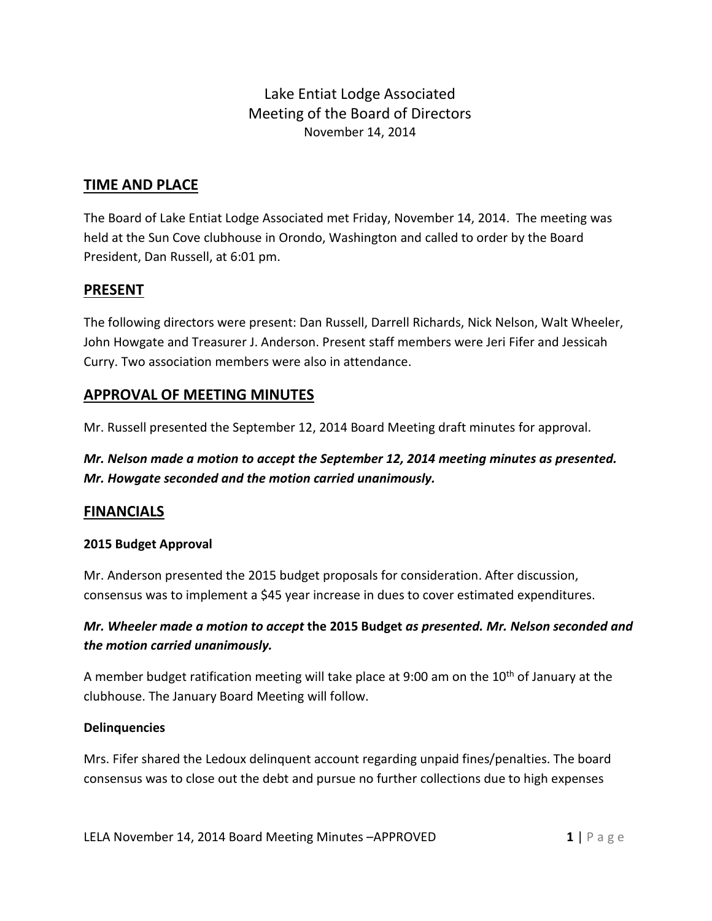Lake Entiat Lodge Associated Meeting of the Board of Directors November 14, 2014

### **TIME AND PLACE**

The Board of Lake Entiat Lodge Associated met Friday, November 14, 2014. The meeting was held at the Sun Cove clubhouse in Orondo, Washington and called to order by the Board President, Dan Russell, at 6:01 pm.

### **PRESENT**

The following directors were present: Dan Russell, Darrell Richards, Nick Nelson, Walt Wheeler, John Howgate and Treasurer J. Anderson. Present staff members were Jeri Fifer and Jessicah Curry. Two association members were also in attendance.

### **APPROVAL OF MEETING MINUTES**

Mr. Russell presented the September 12, 2014 Board Meeting draft minutes for approval.

# *Mr. Nelson made a motion to accept the September 12, 2014 meeting minutes as presented. Mr. Howgate seconded and the motion carried unanimously.*

### **FINANCIALS**

### **2015 Budget Approval**

Mr. Anderson presented the 2015 budget proposals for consideration. After discussion, consensus was to implement a \$45 year increase in dues to cover estimated expenditures.

## *Mr. Wheeler made a motion to accept* **the 2015 Budget** *as presented. Mr. Nelson seconded and the motion carried unanimously.*

A member budget ratification meeting will take place at 9:00 am on the  $10<sup>th</sup>$  of January at the clubhouse. The January Board Meeting will follow.

### **Delinquencies**

Mrs. Fifer shared the Ledoux delinquent account regarding unpaid fines/penalties. The board consensus was to close out the debt and pursue no further collections due to high expenses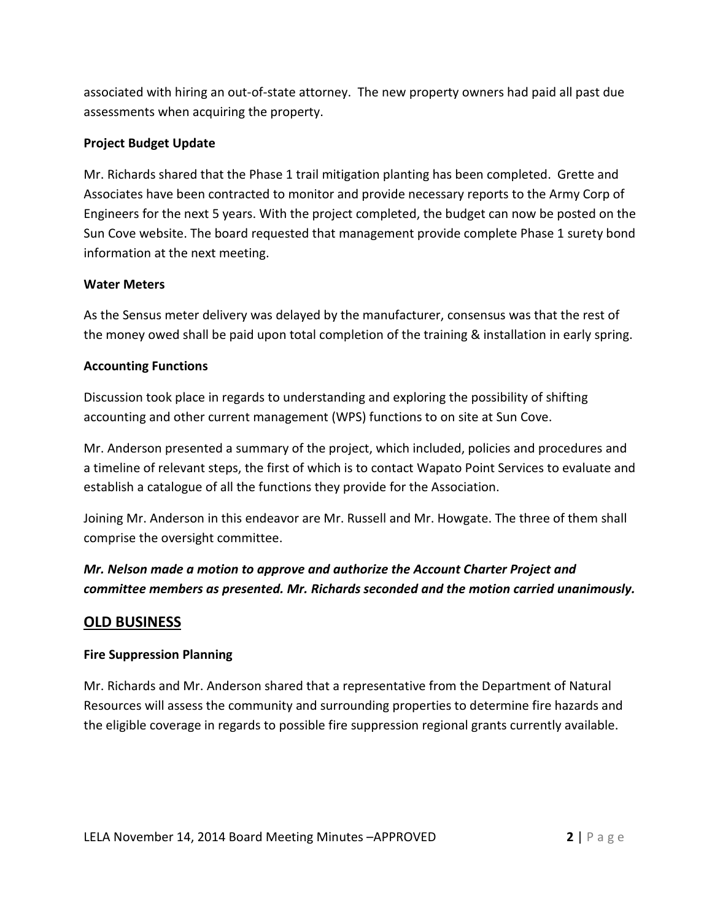associated with hiring an out-of-state attorney. The new property owners had paid all past due assessments when acquiring the property.

### **Project Budget Update**

Mr. Richards shared that the Phase 1 trail mitigation planting has been completed. Grette and Associates have been contracted to monitor and provide necessary reports to the Army Corp of Engineers for the next 5 years. With the project completed, the budget can now be posted on the Sun Cove website. The board requested that management provide complete Phase 1 surety bond information at the next meeting.

### **Water Meters**

As the Sensus meter delivery was delayed by the manufacturer, consensus was that the rest of the money owed shall be paid upon total completion of the training & installation in early spring.

### **Accounting Functions**

Discussion took place in regards to understanding and exploring the possibility of shifting accounting and other current management (WPS) functions to on site at Sun Cove.

Mr. Anderson presented a summary of the project, which included, policies and procedures and a timeline of relevant steps, the first of which is to contact Wapato Point Services to evaluate and establish a catalogue of all the functions they provide for the Association.

Joining Mr. Anderson in this endeavor are Mr. Russell and Mr. Howgate. The three of them shall comprise the oversight committee.

# *Mr. Nelson made a motion to approve and authorize the Account Charter Project and committee members as presented. Mr. Richards seconded and the motion carried unanimously.*

## **OLD BUSINESS**

### **Fire Suppression Planning**

Mr. Richards and Mr. Anderson shared that a representative from the Department of Natural Resources will assess the community and surrounding properties to determine fire hazards and the eligible coverage in regards to possible fire suppression regional grants currently available.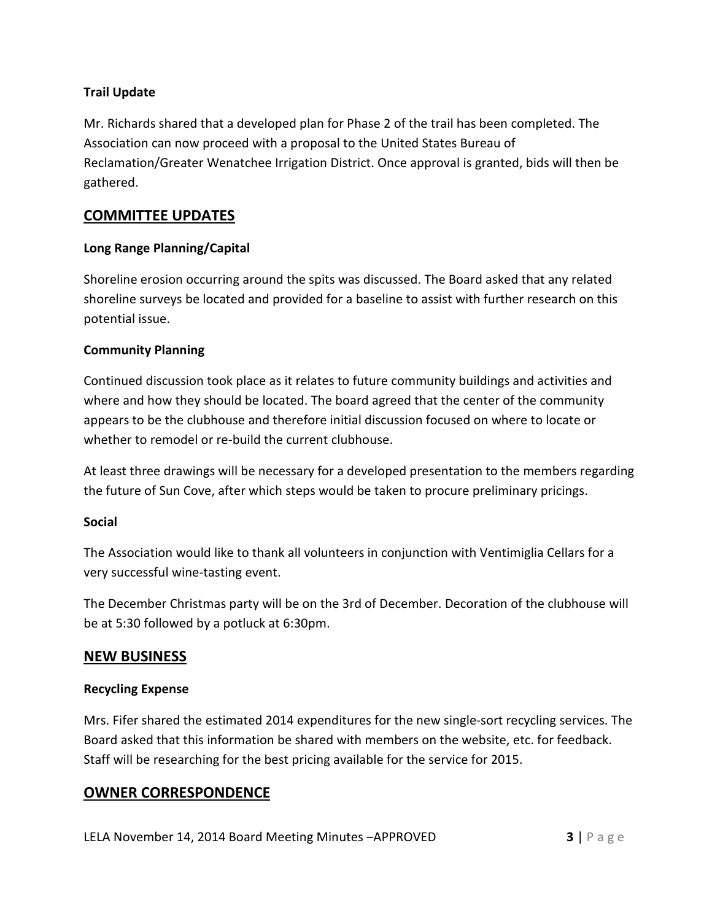### **Trail Update**

Mr. Richards shared that a developed plan for Phase 2 of the trail has been completed. The Association can now proceed with a proposal to the United States Bureau of Reclamation/Greater Wenatchee Irrigation District. Once approval is granted, bids will then be gathered.

## **COMMITTEE UPDATES**

### **Long Range Planning/Capital**

Shoreline erosion occurring around the spits was discussed. The Board asked that any related shoreline surveys be located and provided for a baseline to assist with further research on this potential issue.

### **Community Planning**

Continued discussion took place as it relates to future community buildings and activities and where and how they should be located. The board agreed that the center of the community appears to be the clubhouse and therefore initial discussion focused on where to locate or whether to remodel or re-build the current clubhouse.

At least three drawings will be necessary for a developed presentation to the members regarding the future of Sun Cove, after which steps would be taken to procure preliminary pricings.

#### **Social**

The Association would like to thank all volunteers in conjunction with Ventimiglia Cellars for a very successful wine-tasting event.

The December Christmas party will be on the 3rd of December. Decoration of the clubhouse will be at 5:30 followed by a potluck at 6:30pm.

### **NEW BUSINESS**

### **Recycling Expense**

Mrs. Fifer shared the estimated 2014 expenditures for the new single-sort recycling services. The Board asked that this information be shared with members on the website, etc. for feedback. Staff will be researching for the best pricing available for the service for 2015.

### **OWNER CORRESPONDENCE**